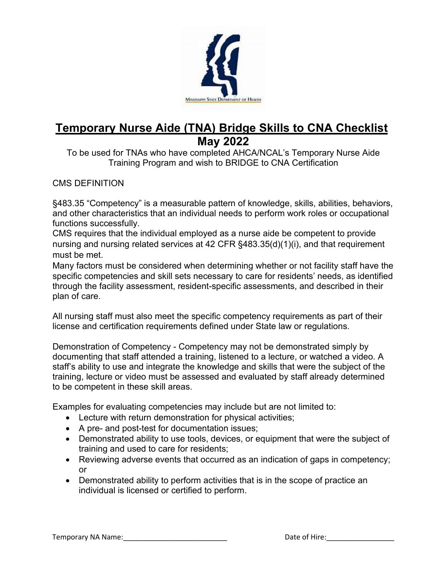

# **Temporary Nurse Aide (TNA) Bridge Skills to CNA Checklist May 2022**

To be used for TNAs who have completed AHCA/NCAL's Temporary Nurse Aide Training Program and wish to BRIDGE to CNA Certification

#### CMS DEFINITION

§483.35 "Competency" is a measurable pattern of knowledge, skills, abilities, behaviors, and other characteristics that an individual needs to perform work roles or occupational functions successfully.

CMS requires that the individual employed as a nurse aide be competent to provide nursing and nursing related services at 42 CFR §483.35(d)(1)(i), and that requirement must be met.

Many factors must be considered when determining whether or not facility staff have the specific competencies and skill sets necessary to care for residents' needs, as identified through the facility assessment, resident-specific assessments, and described in their plan of care.

All nursing staff must also meet the specific competency requirements as part of their license and certification requirements defined under State law or regulations.

Demonstration of Competency - Competency may not be demonstrated simply by documenting that staff attended a training, listened to a lecture, or watched a video. A staff's ability to use and integrate the knowledge and skills that were the subject of the training, lecture or video must be assessed and evaluated by staff already determined to be competent in these skill areas.

Examples for evaluating competencies may include but are not limited to:

- Lecture with return demonstration for physical activities;
- A pre- and post-test for documentation issues;
- Demonstrated ability to use tools, devices, or equipment that were the subject of training and used to care for residents;
- Reviewing adverse events that occurred as an indication of gaps in competency; or
- Demonstrated ability to perform activities that is in the scope of practice an individual is licensed or certified to perform.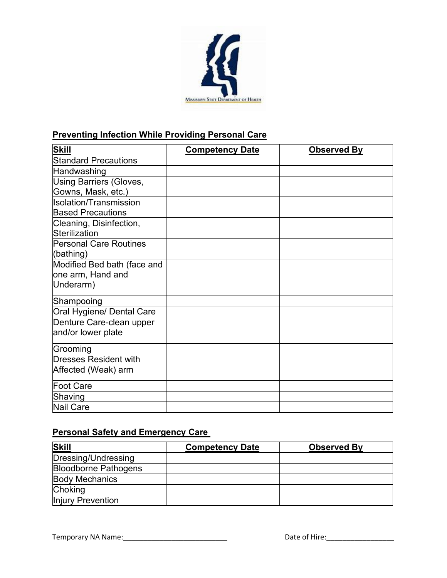

#### **Preventing Infection While Providing Personal Care**

| <b>Skill</b>                   | <b>Competency Date</b> | <b>Observed By</b> |
|--------------------------------|------------------------|--------------------|
| <b>Standard Precautions</b>    |                        |                    |
| Handwashing                    |                        |                    |
| <b>Using Barriers (Gloves,</b> |                        |                    |
| Gowns, Mask, etc.)             |                        |                    |
| Isolation/Transmission         |                        |                    |
| <b>Based Precautions</b>       |                        |                    |
| Cleaning, Disinfection,        |                        |                    |
| Sterilization                  |                        |                    |
| <b>Personal Care Routines</b>  |                        |                    |
| (bathing)                      |                        |                    |
| Modified Bed bath (face and    |                        |                    |
| one arm, Hand and              |                        |                    |
| Underarm)                      |                        |                    |
| Shampooing                     |                        |                    |
| Oral Hygiene/ Dental Care      |                        |                    |
| Denture Care-clean upper       |                        |                    |
| and/or lower plate             |                        |                    |
| Grooming                       |                        |                    |
| <b>Dresses Resident with</b>   |                        |                    |
| Affected (Weak) arm            |                        |                    |
| Foot Care                      |                        |                    |
| Shaving                        |                        |                    |
| <b>Nail Care</b>               |                        |                    |

# **Personal Safety and Emergency Care**

| <b>Skill</b>                | <b>Competency Date</b> | <b>Observed By</b> |
|-----------------------------|------------------------|--------------------|
| Dressing/Undressing         |                        |                    |
| <b>Bloodborne Pathogens</b> |                        |                    |
| <b>Body Mechanics</b>       |                        |                    |
| <b>Choking</b>              |                        |                    |
| Injury Prevention           |                        |                    |

Temporary NA Name:\_\_\_\_\_\_\_\_\_\_\_\_\_\_\_\_\_\_\_\_\_\_\_\_\_\_ Date of Hire:\_\_\_\_\_\_\_\_\_\_\_\_\_\_\_\_\_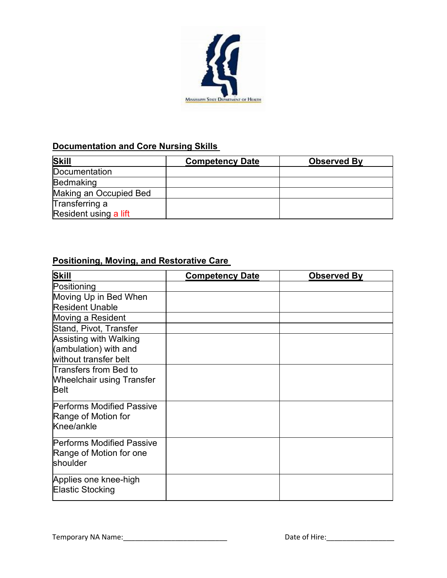

#### **Documentation and Core Nursing Skills**

| <b>Skill</b>           | <b>Competency Date</b> | <b>Observed By</b> |
|------------------------|------------------------|--------------------|
| Documentation          |                        |                    |
| Bedmaking              |                        |                    |
| Making an Occupied Bed |                        |                    |
| Transferring a         |                        |                    |
| Resident using a lift  |                        |                    |

### **Positioning, Moving, and Restorative Care**

| <b>Skill</b>                                                             | <b>Competency Date</b> | <b>Observed By</b> |
|--------------------------------------------------------------------------|------------------------|--------------------|
| Positioning                                                              |                        |                    |
| Moving Up in Bed When<br><b>Resident Unable</b>                          |                        |                    |
| Moving a Resident                                                        |                        |                    |
| Stand, Pivot, Transfer                                                   |                        |                    |
| Assisting with Walking<br>(ambulation) with and<br>without transfer belt |                        |                    |
| Transfers from Bed to<br><b>Wheelchair using Transfer</b><br><b>Belt</b> |                        |                    |
| <b>Performs Modified Passive</b><br>Range of Motion for<br>Knee/ankle    |                        |                    |
| <b>Performs Modified Passive</b><br>Range of Motion for one<br>shoulder  |                        |                    |
| Applies one knee-high<br>Elastic Stocking                                |                        |                    |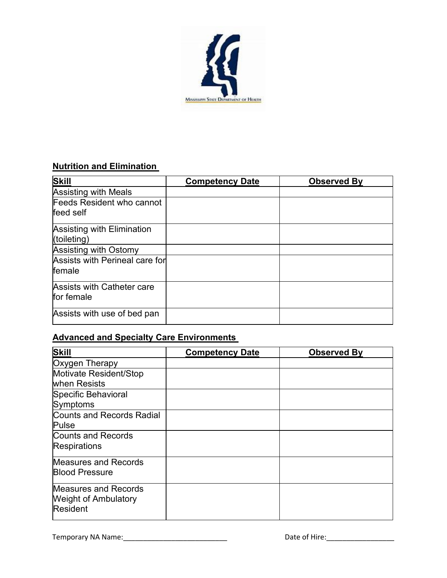

#### **Nutrition and Elimination**

| Skill                                            | <b>Competency Date</b> | <b>Observed By</b> |
|--------------------------------------------------|------------------------|--------------------|
| <b>Assisting with Meals</b>                      |                        |                    |
| Feeds Resident who cannot<br>feed self           |                        |                    |
| <b>Assisting with Elimination</b><br>(toileting) |                        |                    |
| Assisting with Ostomy                            |                        |                    |
| Assists with Perineal care for<br>female         |                        |                    |
| Assists with Catheter care<br>for female         |                        |                    |
| Assists with use of bed pan                      |                        |                    |

## **Advanced and Specialty Care Environments**

| <b>Skill</b>                                                           | <b>Competency Date</b> | <b>Observed By</b> |
|------------------------------------------------------------------------|------------------------|--------------------|
| Oxygen Therapy                                                         |                        |                    |
| Motivate Resident/Stop<br>when Resists                                 |                        |                    |
| Specific Behavioral<br>Symptoms                                        |                        |                    |
| Counts and Records Radial<br>Pulse                                     |                        |                    |
| Counts and Records<br><b>Respirations</b>                              |                        |                    |
| <b>Measures and Records</b><br><b>Blood Pressure</b>                   |                        |                    |
| <b>Measures and Records</b><br><b>Weight of Ambulatory</b><br>Resident |                        |                    |

Temporary NA Name:\_\_\_\_\_\_\_\_\_\_\_\_\_\_\_\_\_\_\_\_\_\_\_\_\_\_ Date of Hire:\_\_\_\_\_\_\_\_\_\_\_\_\_\_\_\_\_